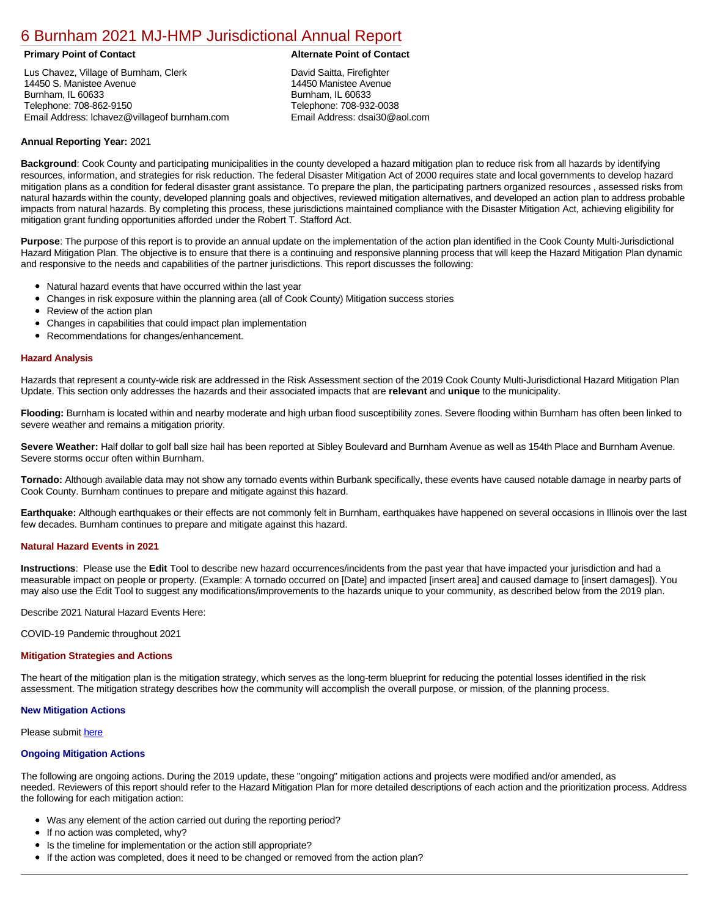# [6 Burnham 2021 MJ-HMP Jurisdictional Annual Report](https://burnham.isc-cemp.com/Cemp/Details?id=8322819)

Lus Chavez, Village of Burnham, Clerk 14450 S. Manistee Avenue Burnham, IL 60633 Telephone: 708-862-9150 Email Address: lchavez@villageof burnham.com

# **Primary Point of Contact Alternate Point of Contact**

David Saitta, Firefighter 14450 Manistee Avenue Burnham, IL 60633 Telephone: 708-932-0038 Email Address: dsai30@aol.com

# **Annual Reporting Year:** 2021

**Background**: Cook County and participating municipalities in the county developed a hazard mitigation plan to reduce risk from all hazards by identifying resources, information, and strategies for risk reduction. The federal Disaster Mitigation Act of 2000 requires state and local governments to develop hazard mitigation plans as a condition for federal disaster grant assistance. To prepare the plan, the participating partners organized resources , assessed risks from natural hazards within the county, developed planning goals and objectives, reviewed mitigation alternatives, and developed an action plan to address probable impacts from natural hazards. By completing this process, these jurisdictions maintained compliance with the Disaster Mitigation Act, achieving eligibility for mitigation grant funding opportunities afforded under the Robert T. Stafford Act.

**Purpose**: The purpose of this report is to provide an annual update on the implementation of the action plan identified in the Cook County Multi-Jurisdictional Hazard Mitigation Plan. The objective is to ensure that there is a continuing and responsive planning process that will keep the Hazard Mitigation Plan dynamic and responsive to the needs and capabilities of the partner jurisdictions. This report discusses the following:

- Natural hazard events that have occurred within the last year
- $\bullet$ Changes in risk exposure within the planning area (all of Cook County) Mitigation success stories
- Review of the action plan  $\bullet$
- $\bullet$ Changes in capabilities that could impact plan implementation
- Recommendations for changes/enhancement.

### **Hazard Analysis**

Hazards that represent a county-wide risk are addressed in the Risk Assessment section of the 2019 Cook County Multi-Jurisdictional Hazard Mitigation Plan Update. This section only addresses the hazards and their associated impacts that are **relevant** and **unique** to the municipality.

**Flooding:** Burnham is located within and nearby moderate and high urban flood susceptibility zones. Severe flooding within Burnham has often been linked to severe weather and remains a mitigation priority.

**Severe Weather:** Half dollar to golf ball size hail has been reported at Sibley Boulevard and Burnham Avenue as well as 154th Place and Burnham Avenue. Severe storms occur often within Burnham.

**Tornado:** Although available data may not show any tornado events within Burbank specifically, these events have caused notable damage in nearby parts of Cook County. Burnham continues to prepare and mitigate against this hazard.

**Earthquake:** Although earthquakes or their effects are not commonly felt in Burnham, earthquakes have happened on several occasions in Illinois over the last few decades. Burnham continues to prepare and mitigate against this hazard.

# **Natural Hazard Events in 2021**

**Instructions**: Please use the **Edit** Tool to describe new hazard occurrences/incidents from the past year that have impacted your jurisdiction and had a measurable impact on people or property. (Example: A tornado occurred on [Date] and impacted [insert area] and caused damage to [insert damages]). You may also use the Edit Tool to suggest any modifications/improvements to the hazards unique to your community, as described below from the 2019 plan.

Describe 2021 Natural Hazard Events Here:

COVID-19 Pandemic throughout 2021

#### **Mitigation Strategies and Actions**

The heart of the mitigation plan is the mitigation strategy, which serves as the long-term blueprint for reducing the potential losses identified in the risk assessment. The mitigation strategy describes how the community will accomplish the overall purpose, or mission, of the planning process.

#### **New Mitigation Actions**

Please submit [here](https://integratedsolutions.wufoo.com/forms/mg21jvf0jn639o/)

# **Ongoing Mitigation Actions**

The following are ongoing actions. During the 2019 update, these "ongoing" mitigation actions and projects were modified and/or amended, as needed. Reviewers of this report should refer to the Hazard Mitigation Plan for more detailed descriptions of each action and the prioritization process. Address the following for each mitigation action:

- Was any element of the action carried out during the reporting period?
- If no action was completed, why?
- Is the timeline for implementation or the action still appropriate?
- If the action was completed, does it need to be changed or removed from the action plan?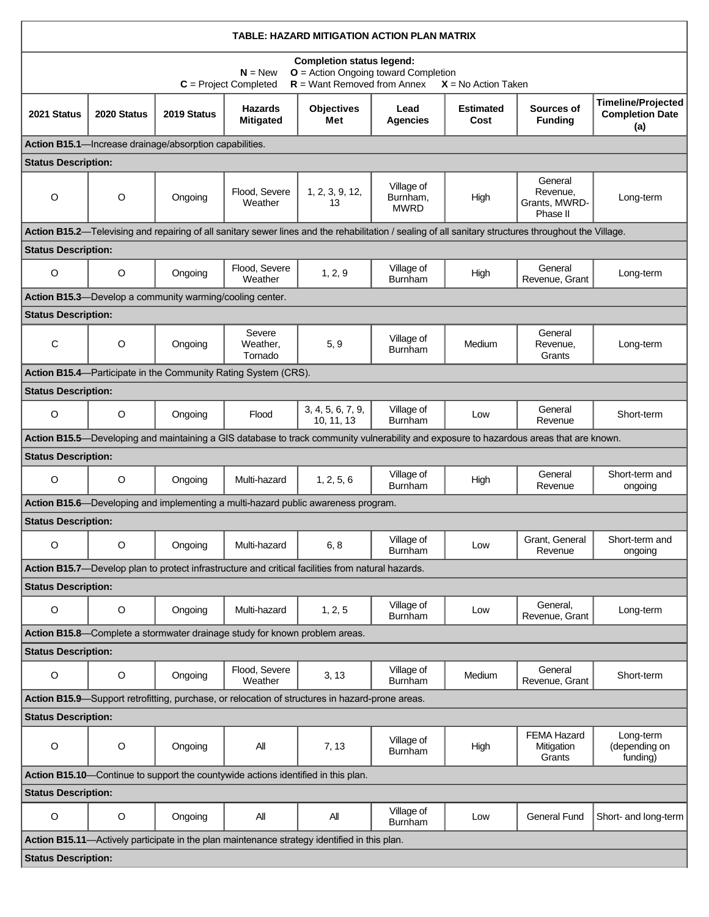| TABLE: HAZARD MITIGATION ACTION PLAN MATRIX                                                                                                                                       |             |                                                          |                                                                            |                                                                                                   |                                       |                          |                                                                                                                                                       |                                                            |  |  |  |  |
|-----------------------------------------------------------------------------------------------------------------------------------------------------------------------------------|-------------|----------------------------------------------------------|----------------------------------------------------------------------------|---------------------------------------------------------------------------------------------------|---------------------------------------|--------------------------|-------------------------------------------------------------------------------------------------------------------------------------------------------|------------------------------------------------------------|--|--|--|--|
| <b>Completion status legend:</b><br><b>O</b> = Action Ongoing toward Completion<br>$N = New$<br>$R =$ Want Removed from Annex<br>$C = Project Completed$<br>$X = No$ Action Taken |             |                                                          |                                                                            |                                                                                                   |                                       |                          |                                                                                                                                                       |                                                            |  |  |  |  |
| 2021 Status                                                                                                                                                                       | 2020 Status | 2019 Status                                              | <b>Hazards</b><br><b>Mitigated</b>                                         | <b>Objectives</b><br>Met                                                                          | Lead<br><b>Agencies</b>               | <b>Estimated</b><br>Cost | Sources of<br><b>Funding</b>                                                                                                                          | <b>Timeline/Projected</b><br><b>Completion Date</b><br>(a) |  |  |  |  |
| Action B15.1-Increase drainage/absorption capabilities.                                                                                                                           |             |                                                          |                                                                            |                                                                                                   |                                       |                          |                                                                                                                                                       |                                                            |  |  |  |  |
| <b>Status Description:</b>                                                                                                                                                        |             |                                                          |                                                                            |                                                                                                   |                                       |                          |                                                                                                                                                       |                                                            |  |  |  |  |
| O                                                                                                                                                                                 | O           | Ongoing                                                  | Flood, Severe<br>Weather                                                   | 1, 2, 3, 9, 12,<br>13                                                                             | Village of<br>Burnham,<br><b>MWRD</b> | High                     | General<br>Revenue,<br>Grants, MWRD-<br>Phase II                                                                                                      | Long-term                                                  |  |  |  |  |
|                                                                                                                                                                                   |             |                                                          |                                                                            |                                                                                                   |                                       |                          | Action B15.2—Televising and repairing of all sanitary sewer lines and the rehabilitation / sealing of all sanitary structures throughout the Village. |                                                            |  |  |  |  |
| <b>Status Description:</b>                                                                                                                                                        |             |                                                          |                                                                            |                                                                                                   |                                       |                          |                                                                                                                                                       |                                                            |  |  |  |  |
| O                                                                                                                                                                                 | O           | Ongoing                                                  | Flood, Severe<br>Weather                                                   | 1, 2, 9                                                                                           | Village of<br>Burnham                 | High                     | General<br>Revenue, Grant                                                                                                                             | Long-term                                                  |  |  |  |  |
|                                                                                                                                                                                   |             | Action B15.3-Develop a community warming/cooling center. |                                                                            |                                                                                                   |                                       |                          |                                                                                                                                                       |                                                            |  |  |  |  |
| <b>Status Description:</b>                                                                                                                                                        |             |                                                          |                                                                            |                                                                                                   |                                       |                          |                                                                                                                                                       |                                                            |  |  |  |  |
| C                                                                                                                                                                                 | $\circ$     | Ongoing                                                  | Severe<br>Weather,<br>Tornado                                              | 5, 9                                                                                              | Village of<br><b>Burnham</b>          | Medium                   | General<br>Revenue,<br>Grants                                                                                                                         | Long-term                                                  |  |  |  |  |
|                                                                                                                                                                                   |             |                                                          | Action B15.4-Participate in the Community Rating System (CRS).             |                                                                                                   |                                       |                          |                                                                                                                                                       |                                                            |  |  |  |  |
| <b>Status Description:</b>                                                                                                                                                        |             |                                                          |                                                                            |                                                                                                   |                                       |                          |                                                                                                                                                       |                                                            |  |  |  |  |
| $\circ$                                                                                                                                                                           | $\circ$     | Ongoing                                                  | Flood                                                                      | 3, 4, 5, 6, 7, 9,<br>10, 11, 13                                                                   | Village of<br><b>Burnham</b>          | Low                      | General<br>Revenue                                                                                                                                    | Short-term                                                 |  |  |  |  |
|                                                                                                                                                                                   |             |                                                          |                                                                            |                                                                                                   |                                       |                          | Action B15.5-Developing and maintaining a GIS database to track community vulnerability and exposure to hazardous areas that are known.               |                                                            |  |  |  |  |
| <b>Status Description:</b>                                                                                                                                                        |             |                                                          |                                                                            |                                                                                                   |                                       |                          |                                                                                                                                                       |                                                            |  |  |  |  |
| O                                                                                                                                                                                 | O           | Ongoing                                                  | Multi-hazard                                                               | 1, 2, 5, 6                                                                                        | Village of<br>Burnham                 | High                     | General<br>Revenue                                                                                                                                    | Short-term and<br>ongoing                                  |  |  |  |  |
|                                                                                                                                                                                   |             |                                                          |                                                                            | Action B15.6—Developing and implementing a multi-hazard public awareness program.                 |                                       |                          |                                                                                                                                                       |                                                            |  |  |  |  |
| <b>Status Description:</b>                                                                                                                                                        |             |                                                          |                                                                            |                                                                                                   |                                       |                          |                                                                                                                                                       |                                                            |  |  |  |  |
| O                                                                                                                                                                                 | O           | Ongoing                                                  | Multi-hazard                                                               | 6,8                                                                                               | Village of<br>Burnham                 | Low                      | Grant, General<br>Revenue                                                                                                                             | Short-term and<br>ongoing                                  |  |  |  |  |
|                                                                                                                                                                                   |             |                                                          |                                                                            | Action B15.7—Develop plan to protect infrastructure and critical facilities from natural hazards. |                                       |                          |                                                                                                                                                       |                                                            |  |  |  |  |
| <b>Status Description:</b>                                                                                                                                                        |             |                                                          |                                                                            |                                                                                                   |                                       |                          |                                                                                                                                                       |                                                            |  |  |  |  |
| O                                                                                                                                                                                 | $\mathsf O$ | Ongoing                                                  | Multi-hazard                                                               | 1, 2, 5                                                                                           | Village of<br>Burnham                 | Low                      | General,<br>Revenue, Grant                                                                                                                            | Long-term                                                  |  |  |  |  |
|                                                                                                                                                                                   |             |                                                          | Action B15.8—Complete a stormwater drainage study for known problem areas. |                                                                                                   |                                       |                          |                                                                                                                                                       |                                                            |  |  |  |  |
| <b>Status Description:</b>                                                                                                                                                        |             |                                                          |                                                                            |                                                                                                   |                                       |                          |                                                                                                                                                       |                                                            |  |  |  |  |
| O                                                                                                                                                                                 | O           | Ongoing                                                  | Flood, Severe<br>Weather                                                   | 3, 13                                                                                             | Village of<br><b>Burnham</b>          | Medium                   | General<br>Revenue, Grant                                                                                                                             | Short-term                                                 |  |  |  |  |
|                                                                                                                                                                                   |             |                                                          |                                                                            | Action B15.9—Support retrofitting, purchase, or relocation of structures in hazard-prone areas.   |                                       |                          |                                                                                                                                                       |                                                            |  |  |  |  |
| <b>Status Description:</b>                                                                                                                                                        |             |                                                          |                                                                            |                                                                                                   |                                       |                          |                                                                                                                                                       |                                                            |  |  |  |  |
| O                                                                                                                                                                                 | O           | Ongoing                                                  | All                                                                        | 7, 13                                                                                             | Village of<br>Burnham                 | High                     | <b>FEMA Hazard</b><br>Mitigation<br>Grants                                                                                                            | Long-term<br>(depending on<br>funding)                     |  |  |  |  |
| Action B15.10—Continue to support the countywide actions identified in this plan.                                                                                                 |             |                                                          |                                                                            |                                                                                                   |                                       |                          |                                                                                                                                                       |                                                            |  |  |  |  |
| <b>Status Description:</b>                                                                                                                                                        |             |                                                          |                                                                            |                                                                                                   |                                       |                          |                                                                                                                                                       |                                                            |  |  |  |  |
| O                                                                                                                                                                                 | O           | Ongoing                                                  | All                                                                        | All                                                                                               | Village of<br><b>Burnham</b>          | Low                      | <b>General Fund</b>                                                                                                                                   | Short- and long-term                                       |  |  |  |  |
|                                                                                                                                                                                   |             |                                                          |                                                                            | Action B15.11-Actively participate in the plan maintenance strategy identified in this plan.      |                                       |                          |                                                                                                                                                       |                                                            |  |  |  |  |
| <b>Status Description:</b>                                                                                                                                                        |             |                                                          |                                                                            |                                                                                                   |                                       |                          |                                                                                                                                                       |                                                            |  |  |  |  |